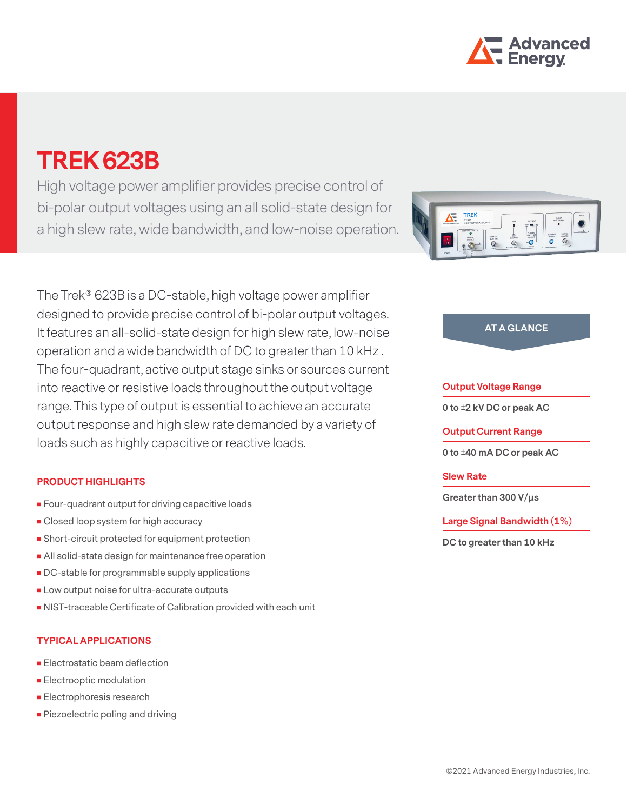

# **TREK 623B**

High voltage power amplifier provides precise control of bi-polar output voltages using an all solid-state design for a high slew rate, wide bandwidth, and low-noise operation.

The Trek® 623B is a DC-stable, high voltage power amplifier designed to provide precise control of bi-polar output voltages. It features an all-solid-state design for high slew rate, low-noise operation and a wide bandwidth of DC to greater than 10 kHz . The four-quadrant, active output stage sinks or sources current into reactive or resistive loads throughout the output voltage range. This type of output is essential to achieve an accurate output response and high slew rate demanded by a variety of loads such as highly capacitive or reactive loads.

## **PRODUCT HIGHLIGHTS**

- **Four-quadrant output for driving capacitive loads**
- Closed loop system for high accuracy
- Short-circuit protected for equipment protection
- All solid-state design for maintenance free operation
- **DC-stable for programmable supply applications**
- **Low output noise for ultra-accurate outputs**
- NIST-traceable Certificate of Calibration provided with each unit

### **TYPICAL APPLICATIONS**

- **Electrostatic beam deflection**
- **Electrooptic modulation**
- **Electrophoresis research**
- **Piezoelectric poling and driving**



## **AT A GLANCE**

### **Output Voltage Range**

**0 to ±2 kV DC or peak AC**

**Output Current Range**

**0 to ±40 mA DC or peak AC**

### **Slew Rate**

**Greater than 300 V/μs**

**Large Signal Bandwidth (1%)**

**DC to greater than 10 kHz**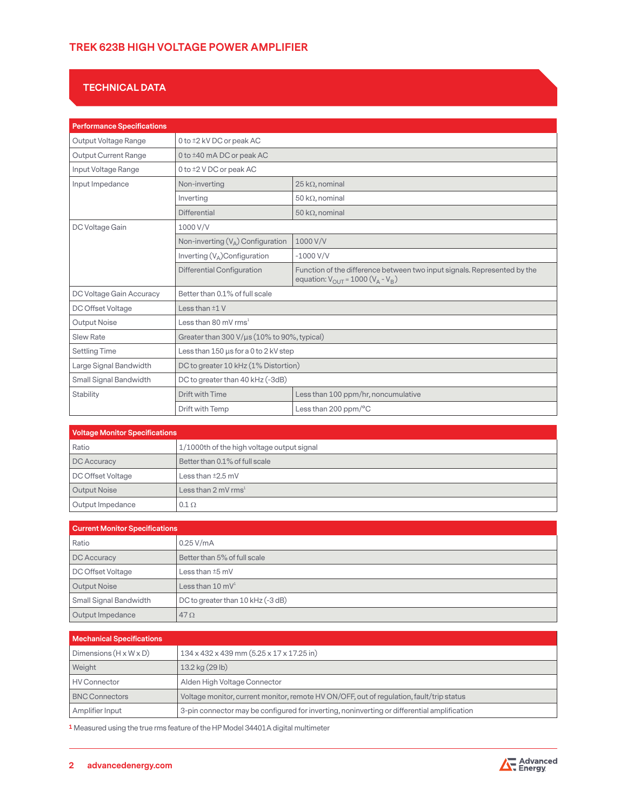## **TREK 623B HIGH VOLTAGE POWER AMPLIFIER**

# **TECHNICAL DATA**

| <b>Performance Specifications</b> |                                             |                                                                                                                                             |
|-----------------------------------|---------------------------------------------|---------------------------------------------------------------------------------------------------------------------------------------------|
| Output Voltage Range              | 0 to ±2 kV DC or peak AC                    |                                                                                                                                             |
| <b>Output Current Range</b>       | 0 to ±40 mA DC or peak AC                   |                                                                                                                                             |
| Input Voltage Range               | 0 to ±2 V DC or peak AC                     |                                                                                                                                             |
| Input Impedance                   | Non-inverting                               | $25 k\Omega$ , nominal                                                                                                                      |
|                                   | Inverting                                   | 50 k $\Omega$ , nominal                                                                                                                     |
|                                   | Differential                                | 50 k $\Omega$ , nominal                                                                                                                     |
| DC Voltage Gain                   | 1000 V/V                                    |                                                                                                                                             |
|                                   | Non-inverting $(V_A)$ Configuration         | 1000 V/V                                                                                                                                    |
|                                   | Inverting $(V_A)$ Configuration             | $-1000$ V/V                                                                                                                                 |
|                                   | <b>Differential Configuration</b>           | Function of the difference between two input signals. Represented by the<br>equation: $V_{\text{OUT}} = 1000 (V_{\text{A}} - V_{\text{B}})$ |
| DC Voltage Gain Accuracy          | Better than 0.1% of full scale              |                                                                                                                                             |
| DC Offset Voltage                 | Less than $±1$ V                            |                                                                                                                                             |
| Output Noise                      | Less than 80 mV $rms1$                      |                                                                                                                                             |
| <b>Slew Rate</b>                  | Greater than 300 V/µs (10% to 90%, typical) |                                                                                                                                             |
| <b>Settling Time</b>              | Less than $150 \mu s$ for a 0 to 2 kV step  |                                                                                                                                             |
| Large Signal Bandwidth            | DC to greater 10 kHz (1% Distortion)        |                                                                                                                                             |
| Small Signal Bandwidth            | DC to greater than 40 kHz (-3dB)            |                                                                                                                                             |
| Stability                         | Drift with Time                             | Less than 100 ppm/hr, noncumulative                                                                                                         |
|                                   | Drift with Temp                             | Less than 200 ppm/°C                                                                                                                        |

| <b>Voltage Monitor Specifications</b> |                                            |  |
|---------------------------------------|--------------------------------------------|--|
| Ratio                                 | 1/1000th of the high voltage output signal |  |
| DC Accuracy                           | Better than 0.1% of full scale             |  |
| DC Offset Voltage                     | Less than $\pm 2.5$ mV                     |  |
| Output Noise                          | Less than 2 mV $rms1$                      |  |
| Output Impedance                      | $0.1 \Omega$                               |  |

| <b>Current Monitor Specifications</b> |                                   |
|---------------------------------------|-----------------------------------|
| Ratio                                 | $0.25$ V/mA                       |
| DC Accuracy                           | Better than 5% of full scale      |
| DC Offset Voltage                     | Less than $±5$ mV                 |
| <b>Output Noise</b>                   | Less than $10 \text{ mV}^1$       |
| Small Signal Bandwidth                | DC to greater than 10 kHz (-3 dB) |
| Output Impedance                      | $47\Omega$                        |

| <b>Mechanical Specifications</b>   |                                                                                             |  |
|------------------------------------|---------------------------------------------------------------------------------------------|--|
| Dimensions $(H \times W \times D)$ | 134 x 432 x 439 mm (5.25 x 17 x 17.25 in)                                                   |  |
| Weight                             | 13.2 kg (29 lb)                                                                             |  |
| <b>HV Connector</b>                | Alden High Voltage Connector                                                                |  |
| <b>BNC Connectors</b>              | Voltage monitor, current monitor, remote HV ON/OFF, out of regulation, fault/trip status    |  |
| Amplifier Input                    | 3-pin connector may be configured for inverting, noninverting or differential amplification |  |

**1** Measured using the true rms feature of the HP Model 34401A digital multimeter

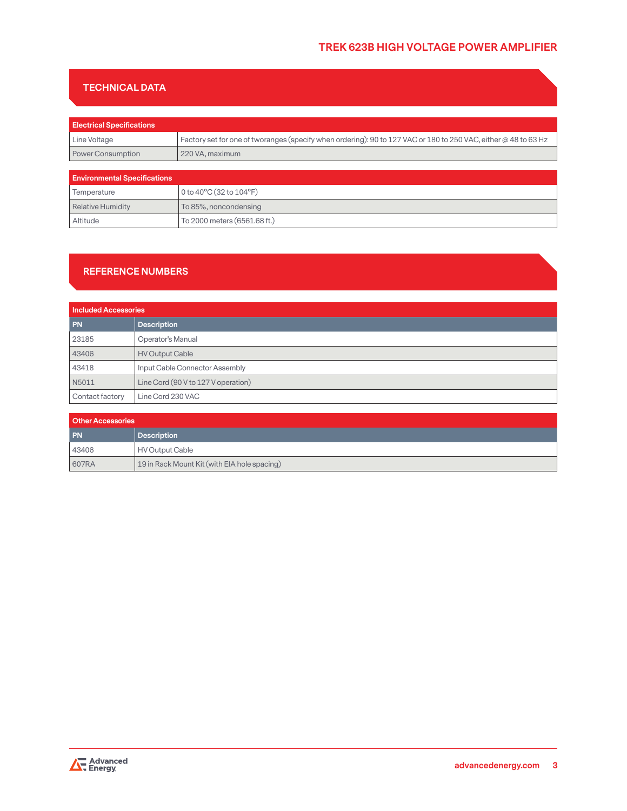## **TECHNICAL DATA**

| <b>Electrical Specifications</b>    |                                                                                                                 |  |
|-------------------------------------|-----------------------------------------------------------------------------------------------------------------|--|
| Line Voltage                        | Factory set for one of tworanges (specify when ordering): 90 to 127 VAC or 180 to 250 VAC, either @ 48 to 63 Hz |  |
| <b>Power Consumption</b>            | 220 VA, maximum                                                                                                 |  |
|                                     |                                                                                                                 |  |
| <b>Environmental Specifications</b> |                                                                                                                 |  |
| Temperature                         | 0 to 40°C (32 to 104°F)                                                                                         |  |
| <b>Relative Humidity</b>            | To 85%, noncondensing                                                                                           |  |
| Altitude                            | To 2000 meters (6561.68 ft.)                                                                                    |  |

## **REFERENCE NUMBERS**

| <b>Included Accessories</b> |                                     |
|-----------------------------|-------------------------------------|
| <b>PN</b>                   | <b>Description</b>                  |
| 23185                       | Operator's Manual                   |
| 43406                       | <b>HV Output Cable</b>              |
| 43418                       | Input Cable Connector Assembly      |
| N5011                       | Line Cord (90 V to 127 V operation) |
| Contact factory             | Line Cord 230 VAC                   |

| <b>Other Accessories</b> |                                              |
|--------------------------|----------------------------------------------|
| <b>PN</b>                | Description                                  |
| 43406                    | HV Output Cable                              |
| 607RA                    | 19 in Rack Mount Kit (with EIA hole spacing) |